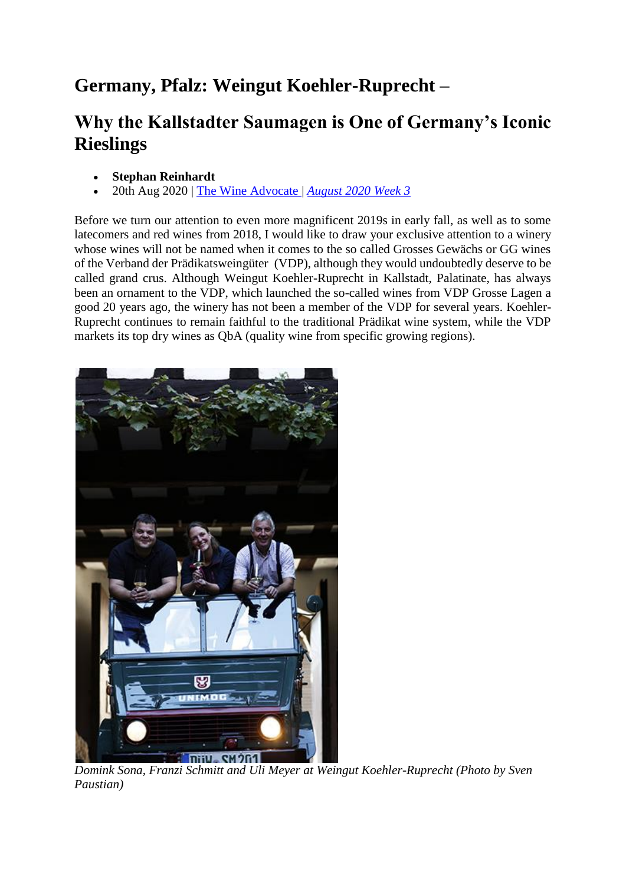## **Germany, Pfalz: Weingut Koehler-Ruprecht –**

## **Why the Kallstadter Saumagen is One of Germany's Iconic Rieslings**

- **Stephan Reinhardt**
- 20th Aug 2020 | [The Wine Advocate |](https://www.robertparker.com/articles/the-wine-advocate) *[August 2020 Week 3](https://www.robertparker.com/articles/the-wine-advocate?issue=zfdEjRuXYoE5wiRtj)*

Before we turn our attention to even more magnificent 2019s in early fall, as well as to some latecomers and red wines from 2018, I would like to draw your exclusive attention to a winery whose wines will not be named when it comes to the so called Grosses Gewächs or GG wines of the Verband der Prädikatsweingüter (VDP), although they would undoubtedly deserve to be called grand crus. Although Weingut Koehler-Ruprecht in Kallstadt, Palatinate, has always been an ornament to the VDP, which launched the so-called wines from VDP Grosse Lagen a good 20 years ago, the winery has not been a member of the VDP for several years. Koehler-Ruprecht continues to remain faithful to the traditional Prädikat wine system, while the VDP markets its top dry wines as QbA (quality wine from specific growing regions).



*Domink Sona, Franzi Schmitt and Uli Meyer at Weingut Koehler-Ruprecht (Photo by Sven Paustian)*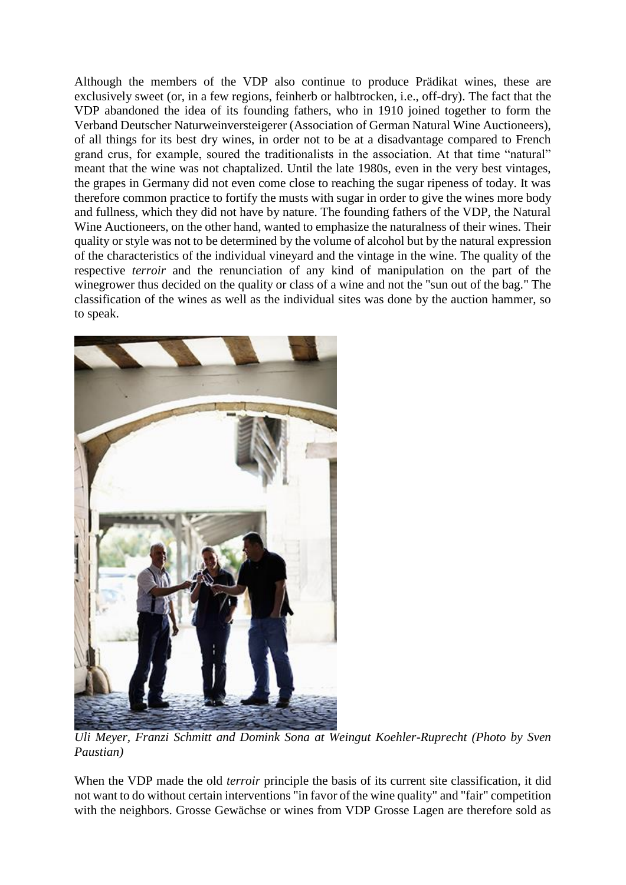Although the members of the VDP also continue to produce Prädikat wines, these are exclusively sweet (or, in a few regions, feinherb or halbtrocken, i.e., off-dry). The fact that the VDP abandoned the idea of its founding fathers, who in 1910 joined together to form the Verband Deutscher Naturweinversteigerer (Association of German Natural Wine Auctioneers), of all things for its best dry wines, in order not to be at a disadvantage compared to French grand crus, for example, soured the traditionalists in the association. At that time "natural" meant that the wine was not chaptalized. Until the late 1980s, even in the very best vintages, the grapes in Germany did not even come close to reaching the sugar ripeness of today. It was therefore common practice to fortify the musts with sugar in order to give the wines more body and fullness, which they did not have by nature. The founding fathers of the VDP, the Natural Wine Auctioneers, on the other hand, wanted to emphasize the naturalness of their wines. Their quality or style was not to be determined by the volume of alcohol but by the natural expression of the characteristics of the individual vineyard and the vintage in the wine. The quality of the respective *terroir* and the renunciation of any kind of manipulation on the part of the winegrower thus decided on the quality or class of a wine and not the "sun out of the bag." The classification of the wines as well as the individual sites was done by the auction hammer, so to speak.



*Uli Meyer, Franzi Schmitt and Domink Sona at Weingut Koehler-Ruprecht (Photo by Sven Paustian)*

When the VDP made the old *terroir* principle the basis of its current site classification, it did not want to do without certain interventions "in favor of the wine quality" and "fair" competition with the neighbors. Grosse Gewächse or wines from VDP Grosse Lagen are therefore sold as